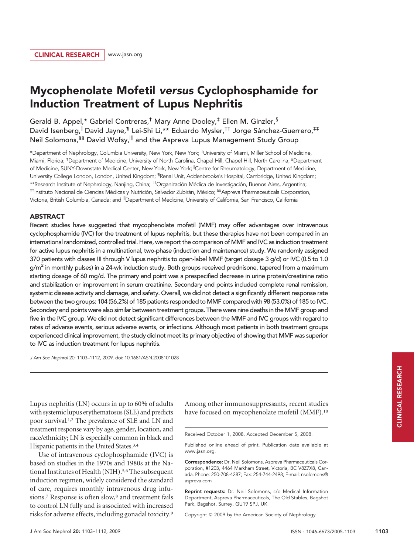# Mycophenolate Mofetil *versus* Cyclophosphamide for Induction Treatment of Lupus Nephritis

Gerald B. Appel,\* Gabriel Contreras,† Mary Anne Dooley,‡ Ellen M. Ginzler,§ David Isenberg,<sup>||</sup> David Jayne,<sup>¶</sup> Lei-Shi Li,\*\* Eduardo Mysler,<sup>††</sup> Jorge Sánchez-Guerrero,<sup>‡‡</sup> Neil Solomons,<sup>§§</sup> David Wofsy,<sup>Ⅲ</sup> and the Aspreva Lupus Management Study Group

\*Department of Nephrology, Columbia University, New York, New York; † University of Miami, Miller School of Medicine, Miami, Florida; <sup>‡</sup>Department of Medicine, University of North Carolina, Chapel Hill, Chapel Hill, North Carolina; <sup>§</sup>Department of Medicine, SUNY-Downstate Medical Center, New York, New York; Centre for Rheumatology, Department of Medicine, University College London, London, United Kingdom; <sup>1</sup>lRenal Unit, Addenbrooke's Hospital, Cambridge, United Kingdom; \*\*Research Institute of Nephrology, Nanjing, China; <sup>††</sup>Organización Médica de Investigación, Buenos Aires, Argentina;  $^{+\sharp}$ Instituto Nacional de Ciencias Médicas y Nutrición, Salvador Zubirán, México; <sup>§§</sup>Aspreva Pharmaceuticals Corporation, Victoria, British Columbia, Canada; and <sup>III</sup>Department of Medicine, University of California, San Francisco, California

# ABSTRACT

Recent studies have suggested that mycophenolate mofetil (MMF) may offer advantages over intravenous cyclophosphamide (IVC) for the treatment of lupus nephritis, but these therapies have not been compared in an international randomized, controlled trial. Here, we report the comparison of MMF and IVC as induction treatment for active lupus nephritis in a multinational, two-phase (induction and maintenance) study. We randomly assigned 370 patients with classes III through V lupus nephritis to open-label MMF (target dosage 3 g/d) or IVC (0.5 to 1.0  $q/m^2$  in monthly pulses) in a 24-wk induction study. Both groups received prednisone, tapered from a maximum starting dosage of 60 mg/d. The primary end point was a prespecified decrease in urine protein/creatinine ratio and stabilization or improvement in serum creatinine. Secondary end points included complete renal remission, systemic disease activity and damage, and safety. Overall, we did not detect a significantly different response rate between the two groups: 104 (56.2%) of 185 patients responded to MMF compared with 98 (53.0%) of 185 to IVC. Secondary end points were also similar between treatment groups. There were nine deaths in the MMF group and five in the IVC group. We did not detect significant differences between the MMF and IVC groups with regard to rates of adverse events, serious adverse events, or infections. Although most patients in both treatment groups experienced clinical improvement, the study did not meet its primary objective of showing that MMF was superior to IVC as induction treatment for lupus nephritis.

*J Am Soc Nephrol* 20: 1103–1112, 2009. doi: 10.1681/ASN.2008101028

Lupus nephritis (LN) occurs in up to 60% of adults with systemic lupus erythematosus (SLE) and predicts poor survival.1,2 The prevalence of SLE and LN and treatment response vary by age, gender, location, and race/ethnicity; LN is especially common in black and Hispanic patients in the United States.<sup>3,4</sup>

Use of intravenous cyclophosphamide (IVC) is based on studies in the 1970s and 1980s at the National Institutes of Health (NIH).<sup>5,6</sup> The subsequent induction regimen, widely considered the standard of care, requires monthly intravenous drug infusions.<sup>7</sup> Response is often slow,<sup>8</sup> and treatment fails to control LN fully and is associated with increased risks for adverse effects, including gonadal toxicity.9 Among other immunosuppressants, recent studies have focused on mycophenolate mofetil (MMF).<sup>10</sup>

Reprint requests: Dr. Neil Solomons, c/o Medical Information Department, Aspreva Pharmaceuticals, The Old Stables, Bagshot Park, Bagshot, Surrey, GU19 SPJ, UK

Copyright © 2009 by the American Society of Nephrology

Received October 1, 2008. Accepted December 5, 2008.

Published online ahead of print. Publication date available at www.jasn.org.

Correspondence: Dr. Neil Solomons, Aspreva Pharmaceuticals Corporation, #1203, 4464 Markham Street, Victoria, BC V8Z7X8, Canada. Phone: 250-708-4287; Fax: 254-744-2498; E-mail: nsolomons@ aspreva.com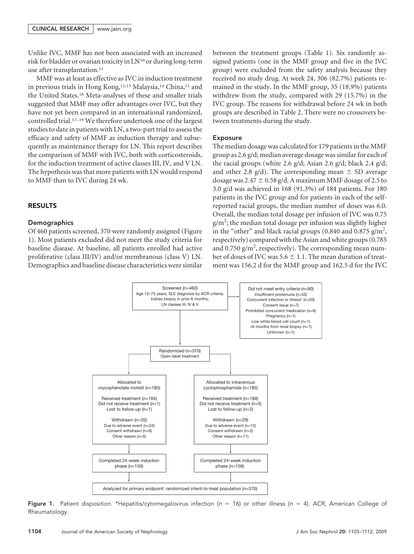Unlike IVC, MMF has not been associated with an increased risk for bladder or ovarian toxicity in LN10 or during long-term use after transplantation.<sup>11</sup>

MMF was at least as effective as IVC in induction treatment in previous trials in Hong Kong,12,13 Malaysia,14 China,15 and the United States.16 Meta-analyses of these and smaller trials suggested that MMF may offer advantages over IVC, but they have not yet been compared in an international randomized, controlled trial.17–19 We therefore undertook one of the largest studies to date in patients with LN, a two-part trial to assess the efficacy and safety of MMF as induction therapy and subsequently as maintenance therapy for LN. This report describes the comparison of MMF with IVC, both with corticosteroids, for the induction treatment of active classes III, IV, and V LN. The hypothesis was that more patients with LN would respond to MMF than to IVC during 24 wk.

# RESULTS

# **Demographics**

Of 460 patients screened, 370 were randomly assigned (Figure 1). Most patients excluded did not meet the study criteria for baseline disease. At baseline, all patients enrolled had active proliferative (class III/IV) and/or membranous (class V) LN. Demographics and baseline disease characteristics were similar between the treatment groups (Table 1). Six randomly assigned patients (one in the MMF group and five in the IVC group) were excluded from the safety analysis because they received no study drug. At week 24, 306 (82.7%) patients remained in the study. In the MMF group, 35 (18.9%) patients withdrew from the study, compared with 29 (15.7%) in the IVC group. The reasons for withdrawal before 24 wk in both groups are described in Table 2. There were no crossovers between treatments during the study.

## Exposure

The median dosage was calculated for 179 patients in the MMF group as 2.6 g/d; median average dosage was similar for each of the racial groups (white 2.6 g/d; Asian 2.6 g/d; black 2.4 g/d; and other 2.8  $g/d$ ). The corresponding mean  $\pm$  SD average dosage was  $2.47 \pm 0.58$  g/d. A maximum MMF dosage of 2.5 to 3.0 g/d was achieved in 168 (91.3%) of 184 patients. For 180 patients in the IVC group and for patients in each of the selfreported racial groups, the median number of doses was 6.0. Overall, the median total dosage per infusion of IVC was 0.75 g/m<sup>2</sup>; the median total dosage per infusion was slightly higher in the "other" and black racial groups (0.840 and 0.875  $g/m^2$ , respectively) compared with the Asian and white groups (0.785 and 0.750  $g/m^2$ , respectively). The corresponding mean number of doses of IVC was  $5.6 \pm 1.1$ . The mean duration of treatment was 156.2 d for the MMF group and 162.5 d for the IVC



**Figure 1.** Patient disposition. \*Hepatitis/cytomegalovirus infection (n = 16) or other illness (n = 4). ACR, American College of Rheumatology.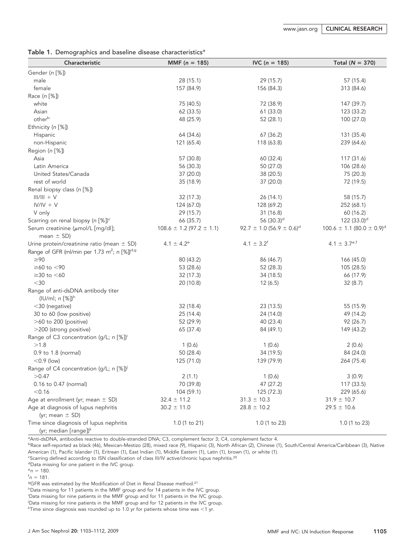Table 1. Demographics and baseline disease characteristics<sup>a</sup>

| Characteristic                                                                                                    | MMF ( $n = 185$ )                | $IVC (n = 185)$                              | Total ( $N = 370$ )                           |
|-------------------------------------------------------------------------------------------------------------------|----------------------------------|----------------------------------------------|-----------------------------------------------|
| Gender (n [%])                                                                                                    |                                  |                                              |                                               |
| male                                                                                                              | 28 (15.1)                        | 29 (15.7)                                    | 57 (15.4)                                     |
| female                                                                                                            | 157 (84.9)                       | 156 (84.3)                                   | 313 (84.6)                                    |
| Race (n [%])                                                                                                      |                                  |                                              |                                               |
| white                                                                                                             | 75 (40.5)                        | 72 (38.9)                                    | 147 (39.7)                                    |
| Asian                                                                                                             | 62 (33.5)                        | 61 (33.0)                                    | 123 (33.2)                                    |
| otherb                                                                                                            | 48 (25.9)                        | 52 (28.1)                                    | 100 (27.0)                                    |
| Ethnicity (n [%])                                                                                                 |                                  |                                              |                                               |
| Hispanic                                                                                                          | 64 (34.6)                        | 67 (36.2)                                    | 131 (35.4)                                    |
| non-Hispanic                                                                                                      | 121 (65.4)                       | 118 (63.8)                                   | 239 (64.6)                                    |
| Region (n [%])                                                                                                    |                                  |                                              |                                               |
| Asia                                                                                                              | 57 (30.8)                        | 60 (32.4)                                    | 117 (31.6)                                    |
| Latin America                                                                                                     | 56 (30.3)                        | 50 (27.0)                                    | 106 (28.6)                                    |
| United States/Canada                                                                                              | 37 (20.0)                        | 38 (20.5)                                    | 75 (20.3)                                     |
| rest of world                                                                                                     | 35 (18.9)                        | 37 (20.0)                                    | 72 (19.5)                                     |
| Renal biopsy class (n [%])                                                                                        |                                  |                                              |                                               |
| $III/III + V$                                                                                                     | 32 (17.3)                        | 26 (14.1)                                    | 58 (15.7)                                     |
| $IV/IV + V$                                                                                                       | 124 (67.0)                       | 128 (69.2)                                   | 252 (68.1)                                    |
| V only                                                                                                            | 29 (15.7)                        | 31(16.8)                                     | 60 (16.2)                                     |
| Scarring on renal biopsy (n [%]) <sup>c</sup>                                                                     | 66 (35.7)                        | 56 $(30.3)^\text{d}$                         | 122 $(33.0)^d$                                |
| Serum creatinine (µmol/L [mg/dl];<br>mean $\pm$ SD)                                                               | $108.6 \pm 1.2$ (97.2 $\pm$ 1.1) | $92.7 \pm 1.0$ (56.9 $\pm$ 0.6) <sup>d</sup> | $100.6 \pm 1.1$ (80.0 $\pm$ 0.9) <sup>d</sup> |
| Urine protein/creatinine ratio (mean ± SD)<br>Range of GFR (ml/min per 1.73 m <sup>2</sup> ; n [%] <sup>d,g</sup> | $4.1 \pm 4.2^{\circ}$            | $4.1 \pm 3.2^f$                              | $4.1 \pm 3.7$ <sup>e,f</sup>                  |
| $\geq 90$                                                                                                         |                                  |                                              |                                               |
|                                                                                                                   | 80 (43.2)                        | 86 (46.7)                                    | 166 (45.0)                                    |
| $\geq 60$ to <90                                                                                                  | 53 (28.6)                        | 52 (28.3)                                    | 105 (28.5)                                    |
| $\geq$ 30 to $<$ 60<br>$<$ 30                                                                                     | 32 (17.3)                        | 34 (18.5)                                    | 66 (17.9)                                     |
|                                                                                                                   | 20 (10.8)                        | 12(6.5)                                      | 32(8.7)                                       |
| Range of anti-dsDNA antibody titer<br>(IU/ml; $n$ [%]) <sup>h</sup>                                               |                                  |                                              |                                               |
|                                                                                                                   |                                  |                                              |                                               |
| <30 (negative)                                                                                                    | 32 (18.4)<br>25 (14.4)           | 23 (13.5)                                    | 55 (15.9)                                     |
| 30 to 60 (low positive)                                                                                           |                                  | 24 (14.0)                                    | 49 (14.2)                                     |
| >60 to 200 (positive)                                                                                             | 52 (29.9)                        | 40 (23.4)<br>84 (49.1)                       | 92 (26.7)                                     |
| >200 (strong positive)                                                                                            | 65 (37.4)                        |                                              | 149 (43.2)                                    |
| Range of C3 concentration (g/L; $n$ [%]) <sup>i</sup><br>>1.8                                                     | 1(0.6)                           | 1(0.6)                                       | 2(0.6)                                        |
|                                                                                                                   | 50 (28.4)                        | 34 (19.5)                                    | 84 (24.0)                                     |
| 0.9 to 1.8 (normal)<br>$<$ 0.9 (low)                                                                              |                                  |                                              |                                               |
| Range of C4 concentration (g/L; n [%]) <sup>j</sup>                                                               | 125 (71.0)                       | 139 (79.9)                                   | 264 (75.4)                                    |
| >0.47                                                                                                             |                                  |                                              |                                               |
|                                                                                                                   | 2(1.1)                           | 1(0.6)                                       | 3(0.9)                                        |
| 0.16 to 0.47 (normal)<br>< 0.16                                                                                   | 70 (39.8)                        | 47 (27.2)                                    | 117 (33.5)                                    |
|                                                                                                                   | 104 (59.1)                       | 125 (72.3)                                   | 229 (65.6)                                    |
| Age at enrollment (yr; mean $\pm$ SD)                                                                             | $32.4 \pm 11.2$                  | $31.3 \pm 10.3$                              | $31.9 \pm 10.7$                               |
| Age at diagnosis of lupus nephritis<br>(yr; mean $\pm$ SD)                                                        | $30.2 \pm 11.0$                  | $28.8 \pm 10.2$                              | $29.5 \pm 10.6$                               |
| Time since diagnosis of lupus nephritis<br>(yr; median [range]) <sup>k</sup>                                      | 1.0(1 to 21)                     | 1.0 (1 to 23)                                | 1.0 (1 to 23)                                 |

aAnti-dsDNA, antibodies reactive to double-stranded DNA; C3, complement factor 3; C4, complement factor 4.

b<sub>Race self-reported as black (46), Mexican-Mestizo (28), mixed race (9), Hispanic (3), North African (2), Chinese (1), South/Central America/Caribbean (3), Native</sub> American (1), Pacific Islander (1), Eritrean (1), East Indian (1), Middle Eastern (1), Latin (1), brown (1), or white (1).

<sup>c</sup>Scarring defined according to ISN classification of class III/IV active/chronic lupus nephritis.<sup>20</sup>

dData missing for one patient in the IVC group.

 ${}^{f}n = 181.$ 

<sup>9</sup>GFR was estimated by the Modification of Diet in Renal Disease method.<sup>21</sup>

hData missing for 11 patients in the MMF group and for 14 patients in the IVC group.

i Data missing for nine patients in the MMF group and for 11 patients in the IVC group.

j Data missing for nine patients in the MMF group and for 12 patients in the IVC group.  $k$ Time since diagnosis was rounded up to 1.0 yr for patients whose time was <1 yr.

 $^{\circ}n = 180.$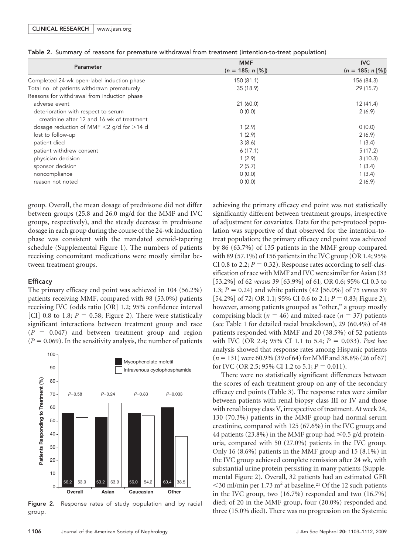| Parameter                                       | <b>MMF</b>         | <b>IVC</b>           |  |
|-------------------------------------------------|--------------------|----------------------|--|
|                                                 | $(n = 185; n$ [%]) | $(n = 185; n \le 8)$ |  |
| Completed 24-wk open-label induction phase      | 150 (81.1)         | 156 (84.3)           |  |
| Total no. of patients withdrawn prematurely     | 35(18.9)           | 29(15.7)             |  |
| Reasons for withdrawal from induction phase     |                    |                      |  |
| adverse event                                   | 21(60.0)           | 12 (41.4)            |  |
| deterioration with respect to serum             | 0(0.0)             | 2(6.9)               |  |
| creatinine after 12 and 16 wk of treatment      |                    |                      |  |
| dosage reduction of MMF $\leq$ g/d for $>$ 14 d | 1(2.9)             | 0(0.0)               |  |
| lost to follow-up                               | 1(2.9)             | 2(6.9)               |  |
| patient died                                    | 3(8.6)             | 1(3.4)               |  |
| patient withdrew consent                        | 6(17.1)            | 5(17.2)              |  |
| physician decision                              | 1(2.9)             | 3(10.3)              |  |
| sponsor decision                                | 2(5.7)             | 1(3.4)               |  |
| noncompliance                                   | 0(0.0)             | 1(3.4)               |  |
| reason not noted                                | 0(0.0)             | 2(6.9)               |  |

|  | Table 2. Summary of reasons for premature withdrawal from treatment (intention-to-treat population) |  |  |
|--|-----------------------------------------------------------------------------------------------------|--|--|
|--|-----------------------------------------------------------------------------------------------------|--|--|

group. Overall, the mean dosage of prednisone did not differ between groups (25.8 and 26.0 mg/d for the MMF and IVC groups, respectively), and the steady decrease in prednisone dosage in each group during the course of the 24-wk induction phase was consistent with the mandated steroid-tapering schedule (Supplemental Figure 1). The numbers of patients receiving concomitant medications were mostly similar between treatment groups.

## **Efficacy**

The primary efficacy end point was achieved in 104 (56.2%) patients receiving MMF, compared with 98 (53.0%) patients receiving IVC (odds ratio [OR] 1.2; 95% confidence interval [CI] 0.8 to 1.8;  $P = 0.58$ ; Figure 2). There were statistically significant interactions between treatment group and race  $(P = 0.047)$  and between treatment group and region  $(P = 0.069)$ . In the sensitivity analysis, the number of patients



Figure 2. Response rates of study population and by racial group.

achieving the primary efficacy end point was not statistically significantly different between treatment groups, irrespective of adjustment for covariates. Data for the per-protocol population was supportive of that observed for the intention-totreat population; the primary efficacy end point was achieved by 86 (63.7%) of 135 patients in the MMF group compared with 89 (57.1%) of 156 patients in the IVC group (OR 1.4; 95% CI 0.8 to 2.2;  $P = 0.32$ ). Response rates according to self-classification of race with MMF and IVC were similar for Asian (33 [53.2%] of 62 *versus* 39 [63.9%] of 61; OR 0.6; 95% CI 0.3 to 1.3; *P* - 0.24) and white patients (42 [56.0%] of 75 *versus* 39  $[54.2\%]$  of 72; OR 1.1; 95% CI 0.6 to 2.1;  $P = 0.83$ ; Figure 2); however, among patients grouped as "other," a group mostly comprising black ( $n = 46$ ) and mixed-race ( $n = 37$ ) patients (see Table 1 for detailed racial breakdown), 29 (60.4%) of 48 patients responded with MMF and 20 (38.5%) of 52 patients with IVC (OR 2.4; 95% CI 1.1 to 5.4; *P* = 0.033). *Post hoc* analysis showed that response rates among Hispanic patients (*n* - 131) were 60.9% (39 of 64) for MMF and 38.8% (26 of 67) for IVC (OR 2.5; 95% CI 1.2 to 5.1;  $P = 0.011$ ).

There were no statistically significant differences between the scores of each treatment group on any of the secondary efficacy end points (Table 3). The response rates were similar between patients with renal biopsy class III or IV and those with renal biopsy class V, irrespective of treatment. At week 24, 130 (70.3%) patients in the MMF group had normal serum creatinine, compared with 125 (67.6%) in the IVC group; and 44 patients (23.8%) in the MMF group had  $\leq 0.5$  g/d proteinuria, compared with 50 (27.0%) patients in the IVC group. Only 16 (8.6%) patients in the MMF group and 15 (8.1%) in the IVC group achieved complete remission after 24 wk, with substantial urine protein persisting in many patients (Supplemental Figure 2). Overall, 32 patients had an estimated GFR  $\leq$ 30 ml/min per 1.73 m<sup>2</sup> at baseline.<sup>21</sup> Of the 12 such patients in the IVC group, two (16.7%) responded and two (16.7%) died; of 20 in the MMF group, four (20.0%) responded and three (15.0% died). There was no progression on the Systemic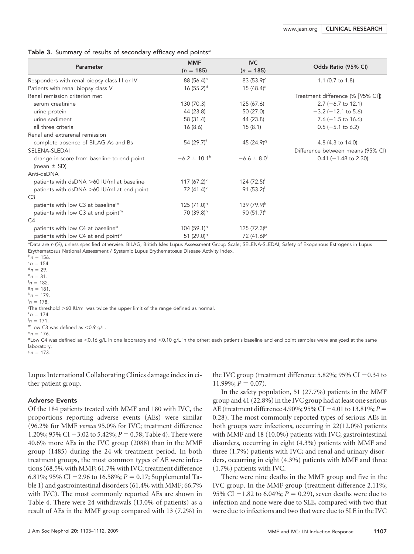Table 3. Summary of results of secondary efficacy end points<sup>a</sup>

| Parameter                                              | <b>MMF</b>                   | <b>IVC</b>               |                                   |
|--------------------------------------------------------|------------------------------|--------------------------|-----------------------------------|
|                                                        | $(n = 185)$                  | $(n = 185)$              | Odds Ratio (95% CI)               |
| Responders with renal biopsy class III or IV           | 88 (56.4) <sup>b</sup>       | 83 $(53.9)^c$            | 1.1 (0.7 to 1.8)                  |
| Patients with renal biopsy class V                     | 16 $(55.2)^d$                | 15 $(48.4)$ <sup>e</sup> |                                   |
| Renal remission criterion met                          |                              |                          | Treatment difference (% [95% CI]) |
| serum creatinine                                       | 130 (70.3)                   | 125 (67.6)               | $2.7$ (-6.7 to 12.1)              |
| urine protein                                          | 44 (23.8)                    | 50(27.0)                 | $-3.2$ ( $-12.1$ to 5.6)          |
| urine sediment                                         | 58 (31.4)                    | 44 (23.8)                | $7.6$ (-1.5 to 16.6)              |
| all three criteria                                     | 16(8.6)                      | 15(8.1)                  | $0.5$ (-5.1 to 6.2)               |
| Renal and extrarenal remission                         |                              |                          |                                   |
| complete absence of BILAG As and Bs                    | 54 $(29.7)^f$                | 45 $(24.9)$ <sup>g</sup> | 4.8 (4.3 to 14.0)                 |
| SELENA-SLEDAI                                          |                              |                          | Difference between means (95% CI) |
| change in score from baseline to end point             | $-6.2 \pm 10.1$ <sup>h</sup> | $-6.6 \pm 8.0^{\circ}$   | $0.41$ (-1.48 to 2.30)            |
| (mean $\pm$ SD)                                        |                              |                          |                                   |
| Anti-dsDNA                                             |                              |                          |                                   |
| patients with dsDNA >60 IU/ml at baseline <sup>j</sup> | 117 $(67.2)^k$               | 124 (72.5)               |                                   |
| patients with dsDNA >60 IU/ml at end point             | 72 $(41.4)^k$                | 91 (53.2)                |                                   |
| C <sub>3</sub>                                         |                              |                          |                                   |
| patients with low C3 at baseline <sup>m</sup>          | $125 (71.0)^n$               | 139 $(79.9)^{k}$         |                                   |
| patients with low C3 at end point <sup>m</sup>         | $70(39.8)^n$                 | 90 $(51.7)^k$            |                                   |
| C <sub>4</sub>                                         |                              |                          |                                   |
| patients with low C4 at baseline <sup>o</sup>          | $104(59.1)^n$                | 125 (72.3) <sup>P</sup>  |                                   |
| patients with low C4 at end point <sup>o</sup>         | 51 $(29.0)^n$                | 72 (41.6) <sup>P</sup>   |                                   |

a Data are *n* (%), unless specified otherwise. BILAG, British Isles Lupus Assessment Group Scale; SELENA-SLEDAI, Safety of Exogenous Estrogens in Lupus Erythematosus National Assessment / Systemic Lupus Erythematosus Disease Activity Index.

 $$ 

 $c_n = 154$ .  $d_n = 29$ .  $e_n = 31.$  $f_n = 182.$  $9n = 181.$  $h_n = 179.$  $n = 178.$ The threshold >60 IU/ml was twice the upper limit of the range defined as normal.  $k_n = 174$ .  $n = 171.$ 

 $m$ Low C3 was defined as <0.9 g/L.

 $n = 176$ .

<sup>o</sup>Low C4 was defined as <0.16 g/L in one laboratory and <0.10 g/L in the other; each patient's baseline and end point samples were analyzed at the same laboratory.

 $Pn = 173$ .

Lupus International Collaborating Clinics damage index in either patient group.

## Adverse Events

Of the 184 patients treated with MMF and 180 with IVC, the proportions reporting adverse events (AEs) were similar (96.2% for MMF *versus* 95.0% for IVC; treatment difference 1.20%; 95% CI  $-3.02$  to 5.42%;  $P = 0.58$ ; Table 4). There were 40.6% more AEs in the IVC group (2088) than in the MMF group (1485) during the 24-wk treatment period. In both treatment groups, the most common types of AE were infections (68.5% with MMF; 61.7% with IVC; treatment difference 6.81%; 95% CI  $-2.96$  to 16.58%;  $P = 0.17$ ; Supplemental Table 1) and gastrointestinal disorders (61.4% with MMF; 66.7% with IVC). The most commonly reported AEs are shown in Table 4. There were 24 withdrawals (13.0% of patients) as a result of AEs in the MMF group compared with 13 (7.2%) in the IVC group (treatment difference 5.82%; 95% CI  $-0.34$  to  $11.99\%; P = 0.07$ .

In the safety population, 51 (27.7%) patients in the MMF group and 41 (22.8%) in the IVC group had at least one serious AE (treatment difference 4.90%; 95% CI  $-4.01$  to 13.81%;  $P =$ 0.28). The most commonly reported types of serious AEs in both groups were infections, occurring in 22(12.0%) patients with MMF and 18 (10.0%) patients with IVC; gastrointestinal disorders, occurring in eight (4.3%) patients with MMF and three (1.7%) patients with IVC; and renal and urinary disorders, occurring in eight (4.3%) patients with MMF and three (1.7%) patients with IVC.

There were nine deaths in the MMF group and five in the IVC group. In the MMF group (treatment difference 2.11%; 95% CI  $-1.82$  to 6.04%;  $P = 0.29$ ), seven deaths were due to infection and none were due to SLE, compared with two that were due to infections and two that were due to SLE in the IVC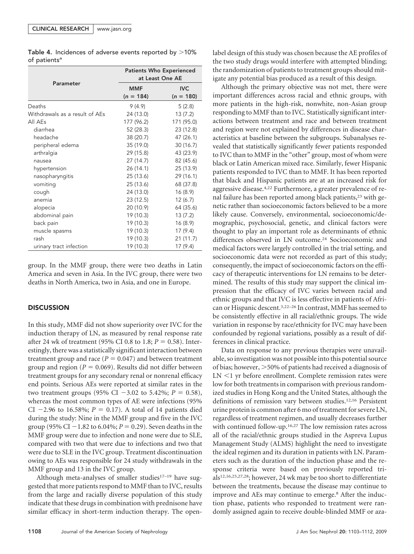| Parameter                      | <b>Patients Who Experienced</b><br>at Least One AE |                           |  |
|--------------------------------|----------------------------------------------------|---------------------------|--|
|                                | <b>MMF</b><br>$(n = 184)$                          | <b>IVC</b><br>$(n = 180)$ |  |
| Deaths                         | 9(4.9)                                             | 5(2.8)                    |  |
| Withdrawals as a result of AEs | 24 (13.0)                                          | 13(7.2)                   |  |
| All AEs                        | 177 (96.2)                                         | 171 (95.0)                |  |
| diarrhea                       | 52 (28.3)                                          | 23 (12.8)                 |  |
| headache                       | 38 (20.7)                                          | 47 (26.1)                 |  |
| peripheral edema               | 35 (19.0)                                          | 30(16.7)                  |  |
| arthralgia                     | 29 (15.8)                                          | 43 (23.9)                 |  |
| nausea                         | 27 (14.7)                                          | 82 (45.6)                 |  |
| hypertension                   | 26 (14.1)                                          | 25 (13.9)                 |  |
| nasopharyngitis                | 25 (13.6)                                          | 29 (16.1)                 |  |
| vomiting                       | 25 (13.6)                                          | 68 (37.8)                 |  |
| cough                          | 24 (13.0)                                          | 16(8.9)                   |  |
| anemia                         | 23 (12.5)                                          | 12(6.7)                   |  |
| alopecia                       | 20 (10.9)                                          | 64 (35.6)                 |  |
| abdominal pain                 | 19 (10.3)                                          | 13(7.2)                   |  |
| back pain                      | 19 (10.3)                                          | 16 (8.9)                  |  |
| muscle spasms                  | 19 (10.3)                                          | 17(9.4)                   |  |
| rash                           | 19 (10.3)                                          | 21 (11.7)                 |  |
| urinary tract infection        | 19 (10.3)                                          | 17 (9.4)                  |  |

Table 4. Incidences of adverse events reported by  $>10\%$ of patients<sup>a</sup>

group. In the MMF group, there were two deaths in Latin America and seven in Asia. In the IVC group, there were two deaths in North America, two in Asia, and one in Europe.

# **DISCUSSION**

In this study, MMF did not show superiority over IVC for the induction therapy of LN, as measured by renal response rate after 24 wk of treatment (95% CI 0.8 to 1.8;  $P = 0.58$ ). Interestingly, there was a statistically significant interaction between treatment group and race ( $P = 0.047$ ) and between treatment group and region ( $P = 0.069$ ). Results did not differ between treatment groups for any secondary renal or nonrenal efficacy end points. Serious AEs were reported at similar rates in the two treatment groups (95% CI  $-3.02$  to 5.42%;  $P = 0.58$ ), whereas the most common types of AE were infections (95%  $CI - 2.96$  to 16.58%;  $P = 0.17$ ). A total of 14 patients died during the study: Nine in the MMF group and five in the IVC group (95% CI  $-1.82$  to 6.04%;  $P = 0.29$ ). Seven deaths in the MMF group were due to infection and none were due to SLE, compared with two that were due to infections and two that were due to SLE in the IVC group. Treatment discontinuation owing to AEs was responsible for 24 study withdrawals in the MMF group and 13 in the IVC group.

Although meta-analyses of smaller studies<sup>17-19</sup> have suggested that more patients respond to MMF than to IVC, results from the large and racially diverse population of this study indicate that these drugs in combination with prednisone have similar efficacy in short-term induction therapy. The openlabel design of this study was chosen because the AE profiles of the two study drugs would interfere with attempted blinding; the randomization of patients to treatment groups should mitigate any potential bias produced as a result of this design.

Although the primary objective was not met, there were important differences across racial and ethnic groups, with more patients in the high-risk, nonwhite, non-Asian group responding to MMF than to IVC. Statistically significant interactions between treatment and race and between treatment and region were not explained by differences in disease characteristics at baseline between the subgroups. Subanalyses revealed that statistically significantly fewer patients responded to IVC than to MMF in the "other" group, most of whom were black or Latin American mixed race. Similarly, fewer Hispanic patients responded to IVC than to MMF. It has been reported that black and Hispanic patients are at an increased risk for aggressive disease.4,22 Furthermore, a greater prevalence of renal failure has been reported among black patients,<sup>23</sup> with genetic rather than socioeconomic factors believed to be a more likely cause. Conversely, environmental, socioeconomic/demographic, psychosocial, genetic, and clinical factors were thought to play an important role as determinants of ethnic differences observed in LN outcome.24 Socioeconomic and medical factors were largely controlled in the trial setting, and socioeconomic data were not recorded as part of this study; consequently, the impact of socioeconomic factors on the efficacy of therapeutic interventions for LN remains to be determined. The results of this study may support the clinical impression that the efficacy of IVC varies between racial and ethnic groups and that IVC is less effective in patients of African or Hispanic descent.3,22–26 In contrast, MMF has seemed to be consistently effective in all racial/ethnic groups. The wide variation in response by race/ethnicity for IVC may have been confounded by regional variations, possibly as a result of differences in clinical practice.

Data on response to any previous therapies were unavailable, so investigation was not possible into this potential source of bias; however, 50% of patients had received a diagnosis of  $LN < 1$  yr before enrollment. Complete remission rates were low for both treatments in comparison with previous randomized studies in Hong Kong and the United States, although the definitions of remission vary between studies.12,16 Persistent urine protein is common after 6 mo of treatment for severe LN, regardless of treatment regimen, and usually decreases further with continued follow-up.<sup>16,27</sup> The low remission rates across all of the racial/ethnic groups studied in the Aspreva Lupus Management Study (ALMS) highlight the need to investigate the ideal regimen and its duration in patients with LN. Parameters such as the duration of the induction phase and the response criteria were based on previously reported trials12,16,25,27,28; however, 24 wk may be too short to differentiate between the treatments, because the disease may continue to improve and AEs may continue to emerge.8 After the induction phase, patients who responded to treatment were randomly assigned again to receive double-blinded MMF or aza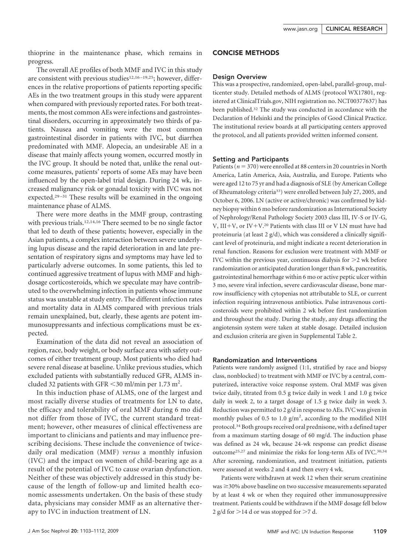thioprine in the maintenance phase, which remains in progress.

The overall AE profiles of both MMF and IVC in this study are consistent with previous studies<sup>12,16-19,25</sup>; however, differences in the relative proportions of patients reporting specific AEs in the two treatment groups in this study were apparent when compared with previously reported rates. For both treatments, the most common AEs were infections and gastrointestinal disorders, occurring in approximately two thirds of patients. Nausea and vomiting were the most common gastrointestinal disorder in patients with IVC, but diarrhea predominated with MMF. Alopecia, an undesirable AE in a disease that mainly affects young women, occurred mostly in the IVC group. It should be noted that, unlike the renal outcome measures, patients' reports of some AEs may have been influenced by the open-label trial design. During 24 wk, increased malignancy risk or gonadal toxicity with IVC was not expected.<sup>29-31</sup> These results will be examined in the ongoing maintenance phase of ALMS.

There were more deaths in the MMF group, contrasting with previous trials.<sup>12,14,16</sup> There seemed to be no single factor that led to death of these patients; however, especially in the Asian patients, a complex interaction between severe underlying lupus disease and the rapid deterioration in and late presentation of respiratory signs and symptoms may have led to particularly adverse outcomes. In some patients, this led to continued aggressive treatment of lupus with MMF and highdosage corticosteroids, which we speculate may have contributed to the overwhelming infection in patients whose immune status was unstable at study entry. The different infection rates and mortality data in ALMS compared with previous trials remain unexplained, but, clearly, these agents are potent immunosuppressants and infectious complications must be expected.

Examination of the data did not reveal an association of region, race, body weight, or body surface area with safety outcomes of either treatment group. Most patients who died had severe renal disease at baseline. Unlike previous studies, which excluded patients with substantially reduced GFR, ALMS included 32 patients with GFR  $\leq$ 30 ml/min per 1.73 m<sup>2</sup>.

In this induction phase of ALMS, one of the largest and most racially diverse studies of treatments for LN to date, the efficacy and tolerability of oral MMF during 6 mo did not differ from those of IVC, the current standard treatment; however, other measures of clinical effectiveness are important to clinicians and patients and may influence prescribing decisions. These include the convenience of twicedaily oral medication (MMF) *versus* a monthly infusion (IVC) and the impact on women of child-bearing age as a result of the potential of IVC to cause ovarian dysfunction. Neither of these was objectively addressed in this study because of the length of follow-up and limited health economic assessments undertaken. On the basis of these study data, physicians may consider MMF as an alternative therapy to IVC in induction treatment of LN.

### CONCISE METHODS

#### Design Overview

This was a prospective, randomized, open-label, parallel-group, multicenter study. Detailed methods of ALMS (protocol WX17801, registered at ClinicalTrials.gov, NIH registration no. NCT00377637) has been published.32 The study was conducted in accordance with the Declaration of Helsinki and the principles of Good Clinical Practice. The institutional review boards at all participating centers approved the protocol, and all patients provided written informed consent.

#### Setting and Participants

Patients ( $n = 370$ ) were enrolled at 88 centers in 20 countries in North America, Latin America, Asia, Australia, and Europe. Patients who were aged 12 to 75 yr and had a diagnosis of SLE (by American College of Rheumatology criteria33) were enrolled between July 27, 2005, and October 6, 2006. LN (active or active/chronic) was confirmed by kidney biopsy within 6 mo before randomization as International Society of Nephrology/Renal Pathology Society 2003 class III, IV-S or IV-G, V, III+V, or IV+V.<sup>20</sup> Patients with class III or V LN must have had proteinuria (at least 2 g/d), which was considered a clinically significant level of proteinuria, and might indicate a recent deterioration in renal function. Reasons for exclusion were treatment with MMF or IVC within the previous year, continuous dialysis for  $\geq$  wk before randomization or anticipated duration longer than 8 wk, pancreatitis, gastrointestinal hemorrhage within 6 mo or active peptic ulcer within 3 mo, severe viral infection, severe cardiovascular disease, bone marrow insufficiency with cytopenias not attributable to SLE, or current infection requiring intravenous antibiotics. Pulse intravenous corticosteroids were prohibited within 2 wk before first randomization and throughout the study. During the study, any drugs affecting the angiotensin system were taken at stable dosage. Detailed inclusion and exclusion criteria are given in Supplemental Table 2.

#### Randomization and Interventions

Patients were randomly assigned (1:1, stratified by race and biopsy class, nonblocked) to treatment with MMF or IVC by a central, computerized, interactive voice response system. Oral MMF was given twice daily, titrated from 0.5 g twice daily in week 1 and 1.0 g twice daily in week 2, to a target dosage of 1.5 g twice daily in week 3. Reduction was permitted to 2 g/d in response to AEs. IVC was given in monthly pulses of 0.5 to 1.0  $g/m^2$ , according to the modified NIH protocol.<sup>34</sup> Both groups received oral prednisone, with a defined taper from a maximum starting dosage of 60 mg/d. The induction phase was defined as 24 wk, because 24-wk response can predict disease outcome25,27 and minimize the risks for long-term AEs of IVC.30,34 After screening, randomization, and treatment initiation, patients were assessed at weeks 2 and 4 and then every 4 wk.

Patients were withdrawn at week 12 when their serum creatinine  $was \geq$ 30% above baseline on two successive measurements separated by at least 4 wk or when they required other immunosuppressive treatment. Patients could be withdrawn if the MMF dosage fell below 2 g/d for  $>$  14 d or was stopped for  $>$  7 d.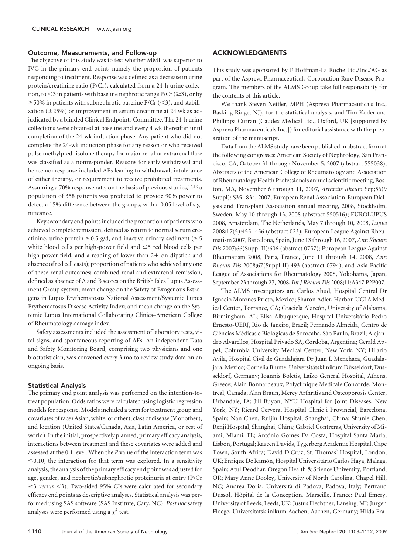## Outcome, Measurements, and Follow-up

The objective of this study was to test whether MMF was superior to IVC in the primary end point, namely the proportion of patients responding to treatment. Response was defined as a decrease in urine protein/creatinine ratio (P/Cr), calculated from a 24-h urine collection, to  $\leq$  3 in patients with baseline nephrotic range P/Cr ( $\geq$ 3), or by  $\geq$  50% in patients with subnephrotic baseline P/Cr (<3), and stabilization  $(\pm 25\%)$  or improvement in serum creatinine at 24 wk as adjudicated by a blinded Clinical Endpoints Committee. The 24-h urine collections were obtained at baseline and every 4 wk thereafter until completion of the 24-wk induction phase. Any patient who did not complete the 24-wk induction phase for any reason or who received pulse methylprednisolone therapy for major renal or extrarenal flare was classified as a nonresponder. Reasons for early withdrawal and hence nonresponse included AEs leading to withdrawal, intolerance of either therapy, or requirement to receive prohibited treatments. Assuming a 70% response rate, on the basis of previous studies,<sup>12,16</sup> a population of 358 patients was predicted to provide 90% power to detect a 15% difference between the groups, with a 0.05 level of significance.

Key secondary end points included the proportion of patients who achieved complete remission, defined as return to normal serum creatinine, urine protein  $\leq 0.5$  g/d, and inactive urinary sediment ( $\leq 5$ ) white blood cells per high-power field and  $\leq$ 5 red blood cells per high-power field, and a reading of lower than  $2+$  on dipstick and absence of red cell casts); proportion of patients who achieved any one of these renal outcomes; combined renal and extrarenal remission, defined as absence of A and B scores on the British Isles Lupus Assessment Group system; mean change on the Safety of Exogenous Estrogens in Lupus Erythematosus National Assessment/Systemic Lupus Erythematosus Disease Activity Index; and mean change on the Systemic Lupus International Collaborating Clinics–American College of Rheumatology damage index.

Safety assessments included the assessment of laboratory tests, vital signs, and spontaneous reporting of AEs. An independent Data and Safety Monitoring Board, comprising two physicians and one biostatistician, was convened every 3 mo to review study data on an ongoing basis.

#### Statistical Analysis

The primary end point analysis was performed on the intention-totreat population. Odds ratios were calculated using logistic regression models for response. Models included a term for treatment group and covariates of race (Asian, white, or other), class of disease (V or other), and location (United States/Canada, Asia, Latin America, or rest of world). In the initial, prospectively planned, primary efficacy analysis, interactions between treatment and these covariates were added and assessed at the 0.1 level. When the *P* value of the interaction term was  $\leq$ 0.10, the interaction for that term was explored. In a sensitivity analysis, the analysis of the primary efficacy end point was adjusted for age, gender, and nephrotic/subnephrotic proteinuria at entry (P/Cr ≥3 *versus* <3). Two-sided 95% CIs were calculated for secondary efficacy end points as descriptive analyses. Statistical analysis was performed using SAS software (SAS Institute, Cary, NC). *Post hoc* safety analyses were performed using a  $\chi^2$  test.

# ACKNOWLEDGMENTS

This study was sponsored by F Hoffman-La Roche Ltd./Inc./AG as part of the Aspreva Pharmaceuticals Corporation Rare Disease Program. The members of the ALMS Group take full responsibility for the contents of this article.

We thank Steven Nettler, MPH (Aspreva Pharmaceuticals Inc., Basking Ridge, NJ), for the statistical analysis, and Tim Koder and Phillippa Curran (Caudex Medical Ltd., Oxford, UK [supported by Aspreva Pharmaceuticals Inc.]) for editorial assistance with the preparation of the manuscript.

Data from the ALMS study have been published in abstract form at the following congresses: American Society of Nephrology, San Francisco, CA, October 31 through November 5, 2007 (abstract 555038); Abstracts of the American College of Rheumatology and Association of Rheumatology Health Professionals annual scientific meeting, Boston, MA, November 6 through 11, 2007, *Arthritis Rheum* Sep;56(9 Suppl): S35– 834, 2007; European Renal Association-European Dialysis and Transplant Association annual meeting, 2008, Stockholm, Sweden, May 10 through 13, 2008 (abstract 550516); EUROLUPUS 2008, Amsterdam, The Netherlands, May 7 through 10, 2008, *Lupus* 2008;17(5):455– 456 (abstract 023); European League Against Rheumatism 2007, Barcelona, Spain, June 13 through 16, 2007,*Ann Rheum Dis* 2007;66(Suppl II):606 (abstract 0757); European League Against Rheumatism 2008, Paris, France, June 11 through 14, 2008, *Ann Rheum Dis* 2008;67(Suppl II):493 (abstract 0794); and Asia Pacific League of Associations for Rheumatology 2008, Yokohama, Japan, September 23 through 27, 2008, *Int J Rheum Dis* 2008;11:A347 P2P007.

The ALMS investigators are Carlos Abud, Hospital Central Dr Ignacio Morones Prieto, Mexico; Sharon Adler, Harbor-UCLA Medical Center, Torrance, CA; Graciela Alarcón, University of Alabama, Birmingham, AL; Elisa Albuquerque, Hospital Universitário Pedro Ernesto-UERJ, Rio de Janeiro, Brazil; Fernando Almeida, Centro de Ciências Médicas e Biológicas de Sorocaba, São Paulo, Brazil; Alejandro Alvarellos, Hospital Privado SA, Córdoba, Argentina; Gerald Appel, Columbia University Medical Center, New York, NY; Hilario Avila, Hospital Civil de Guadalajara Dr Juan I. Menchaca, Guadalajara, Mexico; Cornelia Blume, Universitätsklinikum Düsseldorf, Düsseldorf, Germany; Ioannis Boletis, Laiko General Hospital, Athens, Greece; Alain Bonnardeaux, Polyclinique Medicale Concorde, Montreal, Canada; Alan Braun, Mercy Arthritis and Osteoporosis Center, Urbandale, IA; Jill Buyon, NYU Hospital for Joint Diseases, New York, NY; Ricard Cervera, Hospital Clinic i Provincial, Barcelona, Spain; Nan Chen, Ruijin Hospital, Shanghai, China; Shunle Chen, Renji Hospital, Shanghai, China; Gabriel Contreras, University of Miami, Miami, FL; António Gomes Da Costa, Hospital Santa Maria, Lisbon, Portugal; Razeen Davids, Tygerberg Academic Hospital, Cape Town, South Africa; David D'Cruz, St. Thomas' Hospital, London, UK; Enrique De Ramón, Hospital Universitário Carlos Haya, Malaga, Spain; Atul Deodhar, Oregon Health & Science University, Portland, OR; Mary Anne Dooley, University of North Carolina, Chapel Hill, NC; Andrea Doria, Universita` di Padova, Padova, Italy; Bertrand Dussol, Hôpital de la Conception, Marseille, France; Paul Emery, University of Leeds, Leeds, UK; Justus Fiechtner, Lansing, MI; Jürgen Floege, Universitätsklinikum Aachen, Aachen, Germany; Hilda Fra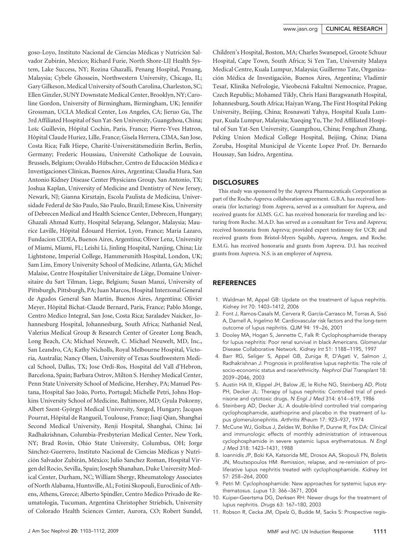goso-Loyo, Instituto Nacional de Ciencias Médicas y Nutrición Salvador Zubirán, Mexico; Richard Furie, North Shore-LIJ Health System, Lake Success, NY; Rozina Ghazalli, Penang Hospital, Penang, Malaysia; Cybele Ghossein, Northwestern University, Chicago, IL; Gary Gilkeson, Medical University of South Carolina, Charleston, SC; Ellen Ginzler, SUNY Downstate Medical Center, Brooklyn, NY; Caroline Gordon, University of Birmingham, Birmingham, UK; Jennifer Grossman, UCLA Medical Center, Los Angeles, CA; Jieruo Gu, The 3rd Affiliated Hospital of Sun Yat-Sen University, Guangzhou, China; Loïc Guillevin, Hôpital Cochin, Paris, France; Pierre-Yves Hatron, Hôpital Claude Huriez, Lille, France; Gisela Herrera, CIMA, San Jose, Costa Rica; Falk Hiepe, Charité-Universitätsmedizin Berlin, Berlin, Germany; Frederic Houssiau, Université Catholique de Louvain, Brussels, Belgium; Osvaldo Hübscher, Centro de Educación Médica e Investígaciones Clínicas, Buenos Aires, Argentina; Claudia Hura, San Antonio Kidney Disease Center Physicians Group, San Antonio, TX; Joshua Kaplan, University of Medicine and Dentistry of New Jersey, Newark, NJ; Gianna Kirsztajn, Escola Paulista de Medicina, Universidade Federal de São Paulo, São Paulo, Brazil; Emese Kiss, University of Debrecen Medical and Health Science Center, Debrecen, Hungary; Ghazali Ahmad Kutty, Hospital Selayang, Selangor, Malaysia; Maurice Laville, Hôpital Édouard Herriot, Lyon, France; Maria Lazaro, Fundacion CIDEA, Buenos Aires, Argentina; Oliver Lenz, University of Miami, Miami, FL; Leishi Li, Jinling Hospital, Nanjing, China; Liz Lightstone, Imperial College, Hammersmith Hospital, London, UK; Sam Lim, Emory University School of Medicine, Atlanta, GA; Michel Malaise, Centre Hospitalier Universitaire de Liège, Domaine Universitaire du Sart Tilman, Liege, Belgium; Susan Manzi, University of Pittsburgh, Pittsburgh, PA; Juan Marcos, Hospital Interzonal General de Agudos General San Martin, Buenos Aires, Argentina; Olivier Meyer, Hôpital Bichat-Claude Bernard, Paris, France; Pablo Monge, Centro Medico Integral, San Jose, Costa Rica; Saraladev Naicker, Johannesburg Hospital, Johannesburg, South Africa; Nathaniel Neal, Valerius Medical Group & Research Center of Greater Long Beach, Long Beach, CA; Michael Neuwelt, C. Michael Neuwelt, MD, Inc., San Leandro, CA; Kathy Nicholls, Royal Melbourne Hospital, Victoria, Australia; Nancy Olsen, University of Texas Southwestern Medical School, Dallas, TX; Jose Ordi-Ros, Hospital del Vall d'Hebron, Barcelona, Spain; Barbara Ostrov, Milton S. Hershey Medical Center, Penn State University School of Medicine, Hershey, PA; Manuel Pestana, Hospital Sao João, Porto, Portugal; Michelle Petri, Johns Hopkins University School of Medicine, Baltimore, MD; Gyula Pokorny, Albert Szent-Györgyi Medical University, Szeged, Hungary; Jacques Pourrat, Hôpital de Rangueil, Toulouse, France; Jiaqi Qian, Shanghai Second Medical University, Renji Hospital, Shanghai, China; Jai Radhakrishnan, Columbia-Presbyterian Medical Center, New York, NY; Brad Rovin, Ohio State University, Columbus, OH; Jorge Sánchez-Guerrero, Instituto Nacional de Ciencias Médicas y Nutrición Salvador Zubirán, México; Julio Sanchez Roman, Hospital Virgen del Rocio, Sevilla, Spain; Joseph Shanahan, Duke University Medical Center, Durham, NC; William Shergy, Rheumatology Associates of North Alabama, Huntsville, AL; Fotini Skopouli, Euroclinic of Athens, Athens, Greece; Alberto Spindler, Centro Medico Privado de Reumatologia, Tucuman, Argentina Christopher Striebich, University of Colorado Health Sciences Center, Aurora, CO; Robert Sundel,

Children's Hospital, Boston, MA; Charles Swanepoel, Groote Schuur Hospital, Cape Town, South Africa; Si Yen Tan, University Malaya Medical Centre, Kuala Lumpur, Malaysia; Guillermo Tate, Organización Médica de Investigación, Buenos Aires, Argentina; Vladimír Tesaŕ, Klinika Nefrologie, Všeobecná Fakultní Nemocnice, Prague, Czech Republic; Mohamed Tikly, Chris Hani Baragwanath Hospital, Johannesburg, South Africa; Haiyan Wang, The First Hospital Peking University, Beijing, China; Rosnawati Yahya, Hospital Kuala Lumpur, Kuala Lumpur, Malaysia; Xueqing Yu, The 3rd Affiliated Hospital of Sun Yat-Sen University, Guangzhou, China; Fengchun Zhang, Peking Union Medical College Hospital, Beijing, China; Diana Zoruba, Hospital Municipal de Vicente Lopez Prof. Dr. Bernardo Houssay, San Isidro, Argentina.

#### **DISCLOSURES**

This study was sponsored by the Aspreva Pharmaceuticals Corporation as part of the Roche-Aspreva collaboration agreement. G.B.A. has received honoraria (for lecturing) from Aspreva, served as a consultant for Aspreva, and received grants for ALMS. G.C. has received honoraria for traveling and lecturing from Roche. M.A.D. has served as a consultant for Teva and Aspreva; received honoraria from Aspreva; provided expert testimony for UCB; and received grants from Bristol-Myers Squibb, Aspreva, Amgen, and Roche. E.M.G. has received honoraria and grants from Aspreva. D.J. has received grants from Aspreva. N.S. is an employee of Aspreva.

## **REFERENCES**

- 1. Waldman M, Appel GB: Update on the treatment of lupus nephritis. *Kidney Int* 70: 1403–1412, 2006
- 2. Font J, Ramos-Casals M, Cervera R, García-Carrasco M, Torras A, Sisó A, Darnell A, Ingelmo M: Cardiovascular risk factors and the long-term outcome of lupus nephritis. *QJM* 94: 19–26, 2001
- 3. Dooley MA, Hogan S, Jennette C, Falk R: Cyclophosphamide therapy for lupus nephritis: Poor renal survival in black Americans. Glomerular Disease Collaborative Network. *Kidney Int* 51: 1188–1195, 1997
- 4. Barr RG, Seliger S, Appel GB, Zuniga R, D'Agati V, Salmon J, Radhakrishnan J: Prognosis in proliferative lupus nephritis: The role of socio-economic status and race/ethnicity. *Nephrol Dial Transplant* 18: 2039–2046, 2003
- 5. Austin HA III, Klippel JH, Balow JE, le Riche NG, Steinberg AD, Plotz PH, Decker JL: Therapy of lupus nephritis: Controlled trial of prednisone and cytotoxic drugs. *N Engl J Med* 314: 614–619, 1986
- 6. Steinberg AD, Decker JL: A double-blind controlled trial comparing cyclophosphamide, azathioprine and placebo in the treatment of lupus glomerulonephritis. *Arthritis Rheum* 17: 923–937, 1974
- 7. McCune WJ, Golbus J, Zeldes W, Bohlke P, Dunne R, Fox DA: Clinical and immunologic effects of monthly administration of intravenous cyclophosphamide in severe systemic lupus erythematosus. *N Engl J Med* 318: 1423–1431, 1988
- 8. Ioannidis JP, Boki KA, Katsorida ME, Drosos AA, Skopouli FN, Boletis JN, Moutsopoulos HM: Remission, relapse, and re-remission of proliferative lupus nephritis treated with cyclophosphamide. *Kidney Int* 57: 258–264, 2000
- 9. Petri M: Cyclophosphamide: New approaches for systemic lupus erythematosus. *Lupus* 13: 366–3671, 2004
- 10. Kuiper-Geertsma DG, Derksen RH: Newer drugs for the treatment of lupus nephritis. *Drugs* 63: 167–180, 2003
- 11. Robson R, Cecka JM, Opelz G, Budde M, Sacks S: Prospective regis-